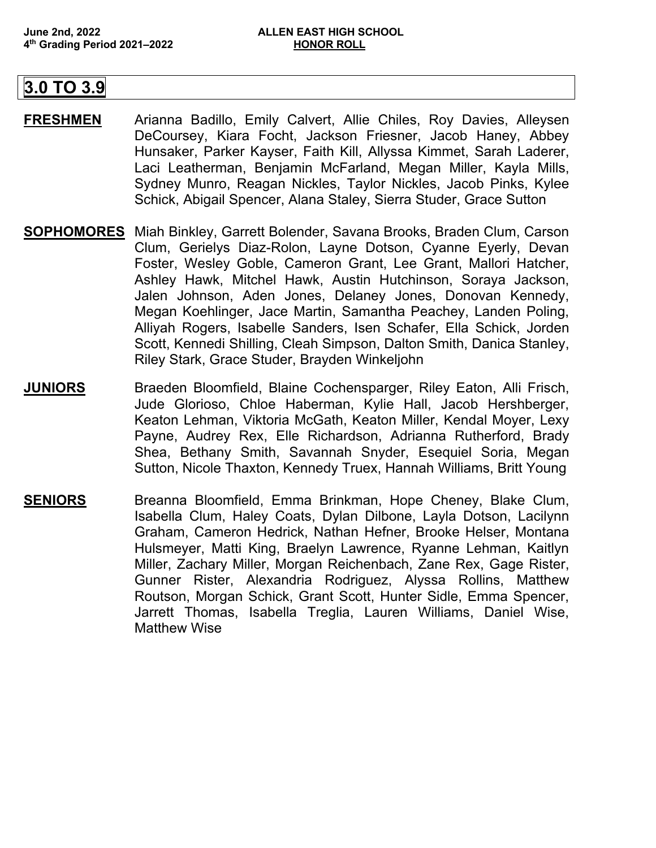## **3.0 TO 3.9**

- **FRESHMEN** Arianna Badillo, Emily Calvert, Allie Chiles, Roy Davies, Alleysen DeCoursey, Kiara Focht, Jackson Friesner, Jacob Haney, Abbey Hunsaker, Parker Kayser, Faith Kill, Allyssa Kimmet, Sarah Laderer, Laci Leatherman, Benjamin McFarland, Megan Miller, Kayla Mills, Sydney Munro, Reagan Nickles, Taylor Nickles, Jacob Pinks, Kylee Schick, Abigail Spencer, Alana Staley, Sierra Studer, Grace Sutton
- **SOPHOMORES** Miah Binkley, Garrett Bolender, Savana Brooks, Braden Clum, Carson Clum, Gerielys Diaz-Rolon, Layne Dotson, Cyanne Eyerly, Devan Foster, Wesley Goble, Cameron Grant, Lee Grant, Mallori Hatcher, Ashley Hawk, Mitchel Hawk, Austin Hutchinson, Soraya Jackson, Jalen Johnson, Aden Jones, Delaney Jones, Donovan Kennedy, Megan Koehlinger, Jace Martin, Samantha Peachey, Landen Poling, Alliyah Rogers, Isabelle Sanders, Isen Schafer, Ella Schick, Jorden Scott, Kennedi Shilling, Cleah Simpson, Dalton Smith, Danica Stanley, Riley Stark, Grace Studer, Brayden Winkeljohn
- **JUNIORS** Braeden Bloomfield, Blaine Cochensparger, Riley Eaton, Alli Frisch, Jude Glorioso, Chloe Haberman, Kylie Hall, Jacob Hershberger, Keaton Lehman, Viktoria McGath, Keaton Miller, Kendal Moyer, Lexy Payne, Audrey Rex, Elle Richardson, Adrianna Rutherford, Brady Shea, Bethany Smith, Savannah Snyder, Esequiel Soria, Megan Sutton, Nicole Thaxton, Kennedy Truex, Hannah Williams, Britt Young
- **SENIORS** Breanna Bloomfield, Emma Brinkman, Hope Cheney, Blake Clum, Isabella Clum, Haley Coats, Dylan Dilbone, Layla Dotson, Lacilynn Graham, Cameron Hedrick, Nathan Hefner, Brooke Helser, Montana Hulsmeyer, Matti King, Braelyn Lawrence, Ryanne Lehman, Kaitlyn Miller, Zachary Miller, Morgan Reichenbach, Zane Rex, Gage Rister, Gunner Rister, Alexandria Rodriguez, Alyssa Rollins, Matthew Routson, Morgan Schick, Grant Scott, Hunter Sidle, Emma Spencer, Jarrett Thomas, Isabella Treglia, Lauren Williams, Daniel Wise, Matthew Wise